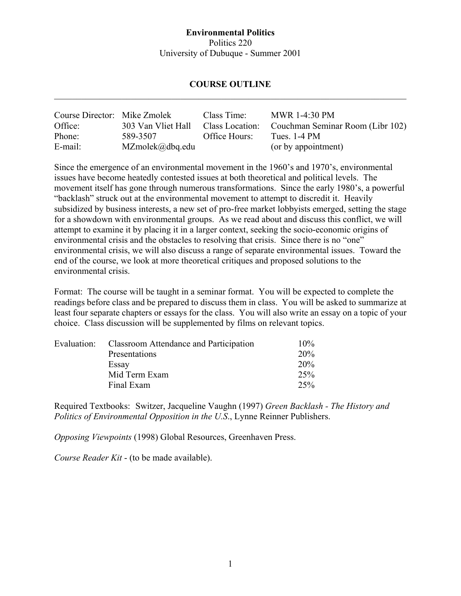#### **Environmental Politics**  Politics 220 University of Dubuque - Summer 2001

#### **COURSE OUTLINE**   $\_$  , and the contribution of the contribution of the contribution of the contribution of  $\mathcal{L}_\text{max}$

| Course Director: Mike Zmolek |                              | Class Time:     | <b>MWR 1-4:30 PM</b>             |
|------------------------------|------------------------------|-----------------|----------------------------------|
| Office:                      | 303 Van Vliet Hall           | Class Location: | Couchman Seminar Room (Libr 102) |
| Phone:                       | 589-3507                     | Office Hours:   | Tues. $1-4$ PM                   |
| E-mail:                      | $MZmolek(\partial_d bq.edu)$ |                 | (or by appointment)              |

Since the emergence of an environmental movement in the 1960's and 1970's, environmental issues have become heatedly contested issues at both theoretical and political levels. The movement itself has gone through numerous transformations. Since the early 1980's, a powerful "backlash" struck out at the environmental movement to attempt to discredit it. Heavily subsidized by business interests, a new set of pro-free market lobbyists emerged, setting the stage for a showdown with environmental groups. As we read about and discuss this conflict, we will attempt to examine it by placing it in a larger context, seeking the socio-economic origins of environmental crisis and the obstacles to resolving that crisis. Since there is no "one" environmental crisis, we will also discuss a range of separate environmental issues. Toward the end of the course, we look at more theoretical critiques and proposed solutions to the environmental crisis.

Format: The course will be taught in a seminar format. You will be expected to complete the readings before class and be prepared to discuss them in class. You will be asked to summarize at least four separate chapters or essays for the class. You will also write an essay on a topic of your choice. Class discussion will be supplemented by films on relevant topics.

| Evaluation: | Classroom Attendance and Participation | $10\%$ |
|-------------|----------------------------------------|--------|
|             | Presentations                          | 20%    |
|             | Essay                                  | 20%    |
|             | Mid Term Exam                          | 25%    |
|             | Final Exam                             | 25%    |

Required Textbooks: Switzer, Jacqueline Vaughn (1997) *Green Backlash - The History and Politics of Environmental Opposition in the U.S*., Lynne Reinner Publishers.

*Opposing Viewpoints* (1998) Global Resources, Greenhaven Press.

*Course Reader Kit* - (to be made available).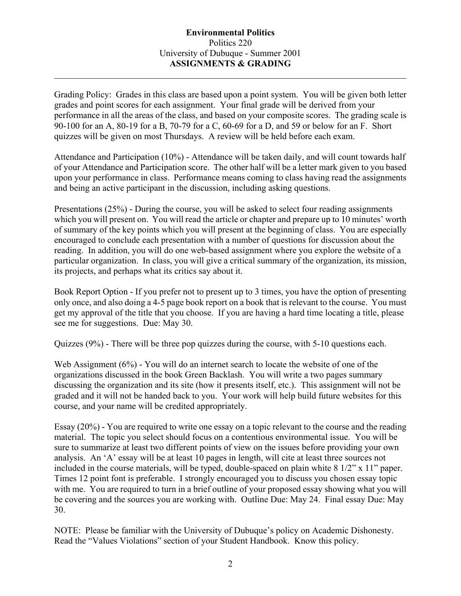#### **Environmental Politics**  Politics 220 University of Dubuque - Summer 2001 **ASSIGNMENTS & GRADING**

 $\_$  , and the contribution of the contribution of the contribution of the contribution of  $\mathcal{L}_\text{max}$ 

Grading Policy: Grades in this class are based upon a point system. You will be given both letter grades and point scores for each assignment. Your final grade will be derived from your performance in all the areas of the class, and based on your composite scores. The grading scale is 90-100 for an A, 80-19 for a B, 70-79 for a C, 60-69 for a D, and 59 or below for an F. Short quizzes will be given on most Thursdays. A review will be held before each exam.

Attendance and Participation (10%) - Attendance will be taken daily, and will count towards half of your Attendance and Participation score. The other half will be a letter mark given to you based upon your performance in class. Performance means coming to class having read the assignments and being an active participant in the discussion, including asking questions.

Presentations (25%) - During the course, you will be asked to select four reading assignments which you will present on. You will read the article or chapter and prepare up to 10 minutes' worth of summary of the key points which you will present at the beginning of class. You are especially encouraged to conclude each presentation with a number of questions for discussion about the reading. In addition, you will do one web-based assignment where you explore the website of a particular organization. In class, you will give a critical summary of the organization, its mission, its projects, and perhaps what its critics say about it.

Book Report Option - If you prefer not to present up to 3 times, you have the option of presenting only once, and also doing a 4-5 page book report on a book that is relevant to the course. You must get my approval of the title that you choose. If you are having a hard time locating a title, please see me for suggestions. Due: May 30.

Quizzes (9%) - There will be three pop quizzes during the course, with 5-10 questions each.

Web Assignment (6%) - You will do an internet search to locate the website of one of the organizations discussed in the book Green Backlash. You will write a two pages summary discussing the organization and its site (how it presents itself, etc.). This assignment will not be graded and it will not be handed back to you. Your work will help build future websites for this course, and your name will be credited appropriately.

Essay (20%) - You are required to write one essay on a topic relevant to the course and the reading material. The topic you select should focus on a contentious environmental issue. You will be sure to summarize at least two different points of view on the issues before providing your own analysis. An 'A' essay will be at least 10 pages in length, will cite at least three sources not included in the course materials, will be typed, double-spaced on plain white 8 1/2" x 11" paper. Times 12 point font is preferable. I strongly encouraged you to discuss you chosen essay topic with me. You are required to turn in a brief outline of your proposed essay showing what you will be covering and the sources you are working with. Outline Due: May 24. Final essay Due: May 30.

NOTE: Please be familiar with the University of Dubuque's policy on Academic Dishonesty. Read the "Values Violations" section of your Student Handbook. Know this policy.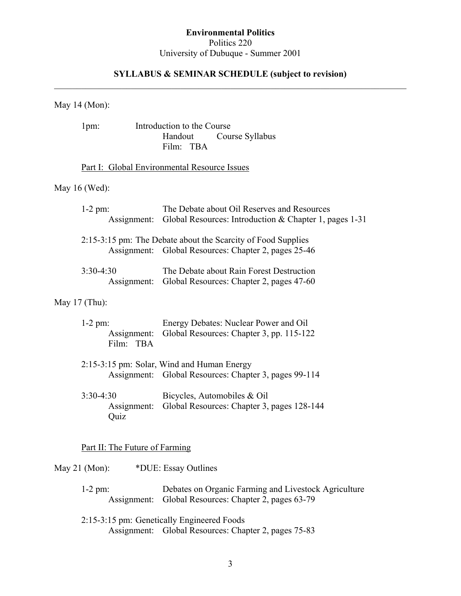### **Environmental Politics**  Politics 220 University of Dubuque - Summer 2001

#### **SYLLABUS & SEMINAR SCHEDULE (subject to revision)**   $\_$  , and the contribution of the contribution of the contribution of the contribution of  $\mathcal{L}_\text{max}$

### May 14 (Mon):

|                 | $1pm$ :             |                                | Introduction to the Course<br>Handout<br>Course Syllabus<br>Film: TBA                                                |
|-----------------|---------------------|--------------------------------|----------------------------------------------------------------------------------------------------------------------|
|                 |                     |                                | Part I: Global Environmental Resource Issues                                                                         |
| May $16$ (Wed): |                     |                                |                                                                                                                      |
|                 | $1-2$ pm:           | Assignment:                    | The Debate about Oil Reserves and Resources<br>Global Resources: Introduction & Chapter 1, pages $1-31$              |
|                 |                     |                                | 2:15-3:15 pm: The Debate about the Scarcity of Food Supplies<br>Assignment: Global Resources: Chapter 2, pages 25-46 |
|                 | $3:30-4:30$         | Assignment:                    | The Debate about Rain Forest Destruction<br>Global Resources: Chapter 2, pages 47-60                                 |
| May $17$ (Thu): |                     |                                |                                                                                                                      |
|                 | $1-2$ pm:           | Assignment:<br>Film: TBA       | Energy Debates: Nuclear Power and Oil<br>Global Resources: Chapter 3, pp. 115-122                                    |
|                 |                     |                                | 2:15-3:15 pm: Solar, Wind and Human Energy<br>Assignment: Global Resources: Chapter 3, pages 99-114                  |
|                 | $3:30-4:30$<br>Quiz | Assignment:                    | Bicycles, Automobiles & Oil<br>Global Resources: Chapter 3, pages 128-144                                            |
|                 |                     | Part II: The Future of Farming |                                                                                                                      |
| May $21$ (Mon): |                     |                                | *DUE: Essay Outlines                                                                                                 |

 1-2 pm: Debates on Organic Farming and Livestock Agriculture Assignment: Global Resources: Chapter 2, pages 63-79

 2:15-3:15 pm: Genetically Engineered Foods Assignment: Global Resources: Chapter 2, pages 75-83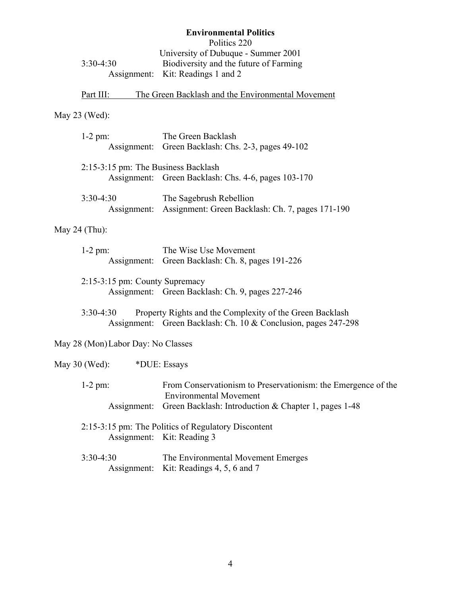|             | <b>Environmental Politics</b>          |
|-------------|----------------------------------------|
|             | Politics 220                           |
|             | University of Dubuque - Summer 2001    |
| $3:30-4:30$ | Biodiversity and the future of Farming |
|             | Assignment: Kit: Readings 1 and 2      |

# Part III: The Green Backlash and the Environmental Movement

# May 23 (Wed):

| $1-2$ pm:                           | The Green Backlash<br>Assignment: Green Backlash: Chs. 2-3, pages 49-102                                                   |
|-------------------------------------|----------------------------------------------------------------------------------------------------------------------------|
| 2:15-3:15 pm: The Business Backlash | Assignment: Green Backlash: Chs. 4-6, pages 103-170                                                                        |
| $3:30-4:30$<br>Assignment:          | The Sagebrush Rebellion<br>Assignment: Green Backlash: Ch. 7, pages 171-190                                                |
| May 24 $(Thu)$ :                    |                                                                                                                            |
| $1-2$ pm:<br>Assignment:            | The Wise Use Movement<br>Green Backlash: Ch. 8, pages 191-226                                                              |
| 2:15-3:15 pm: County Supremacy      | Assignment: Green Backlash: Ch. 9, pages 227-246                                                                           |
| $3:30-4:30$                         | Property Rights and the Complexity of the Green Backlash<br>Assignment: Green Backlash: Ch. 10 & Conclusion, pages 247-298 |
| May 28 (Mon) Labor Day: No Classes  |                                                                                                                            |
| May $30$ (Wed):                     | *DUE: Essays                                                                                                               |
| $1-2$ pm:                           | From Conservationism to Preservationism: the Emergence of the<br><b>Environmental Movement</b>                             |
| Assignment:                         | Green Backlash: Introduction & Chapter 1, pages 1-48                                                                       |
|                                     | 2:15-3:15 pm: The Politics of Regulatory Discontent<br>Assignment: Kit: Reading 3                                          |
| $3:30-4:30$<br>Assignment:          | The Environmental Movement Emerges<br>Kit: Readings 4, 5, 6 and 7                                                          |